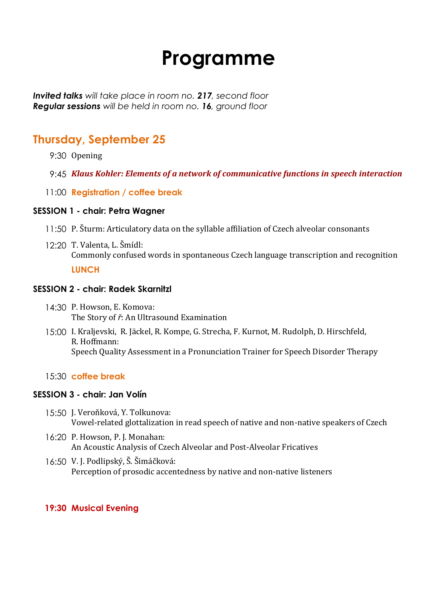# **Programme**

*Invited talks will take place in room no. 217, second floor Regular sessions will be held in room no. 16, ground floor*

## **Thursday, September 25**

- 9:30 Opening
- 9:45 *Klaus Kohler: Elements of a network of communicative functions in speech interaction*
- 11:00 **Registration / coffee break**

#### **SESSION 1 - chair: Petra Wagner**

- 11:50 P. Šturm: Articulatory data on the syllable affiliation of Czech alveolar consonants
- 12:20 T. Valenta, L. Šmídl: Commonly confused words in spontaneous Czech language transcription and recognition **LUNCH**

#### **SESSION 2 - chair: Radek Skarnitzl**

- 14:30 P. Howson, E. Komova: The Story of *ř*: An Ultrasound Examination
- 15:00 I. Kraljevski, R. Jäckel, R. Kompe, G. Strecha, F. Kurnot, M. Rudolph, D. Hirschfeld, R. Hoffmann: Speech Quality Assessment in a Pronunciation Trainer for Speech Disorder Therapy

#### 15:30 **coffee break**

#### **SESSION 3 - chair: Jan Volín**

- 15:50 J. Veroňková, Y. Tolkunova: Vowel-related glottalization in read speech of native and non-native speakers of Czech
- 16:20 P. Howson, P. J. Monahan: An Acoustic Analysis of Czech Alveolar and Post-Alveolar Fricatives
- 16:50 V. J. Podlipský, Š. Šimáčková: Perception of prosodic accentedness by native and non-native listeners

#### **19:30 Musical Evening**